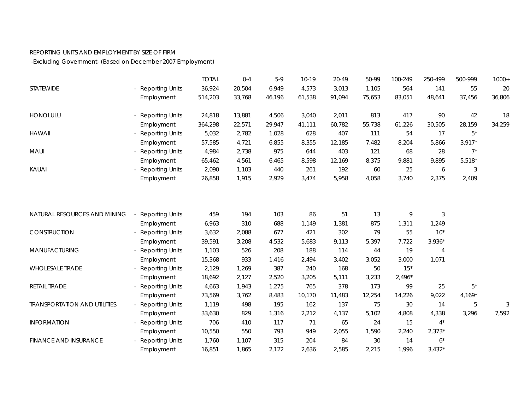## REPORTING UNITS AND EMPLOYMENT BY SIZE OF FIRM

-Excluding Government- (Based on December 2007 Employment)

|                                     |                        | <b>TOTAL</b> | $0 - 4$ | $5-9$  | $10-19$ | 20-49  | 50-99  | 100-249  | 250-499        | 500-999  | $1000+$ |
|-------------------------------------|------------------------|--------------|---------|--------|---------|--------|--------|----------|----------------|----------|---------|
| STATEWIDE                           | <b>Reporting Units</b> | 36,924       | 20,504  | 6,949  | 4,573   | 3,013  | 1,105  | 564      | 141            | 55       | 20      |
|                                     | Employment             | 514,203      | 33,768  | 46,196 | 61,538  | 91,094 | 75,653 | 83,051   | 48,641         | 37,456   | 36,806  |
| HONOLULU                            | <b>Reporting Units</b> | 24,818       | 13,881  | 4,506  | 3,040   | 2,011  | 813    | 417      | 90             | 42       | 18      |
|                                     | Employment             | 364,298      | 22,571  | 29,947 | 41,111  | 60,782 | 55,738 | 61,226   | 30,505         | 28,159   | 34,259  |
| <b>HAWAII</b>                       | <b>Reporting Units</b> | 5,032        | 2,782   | 1,028  | 628     | 407    | 111    | 54       | 17             | $5^*$    |         |
|                                     | Employment             | 57,585       | 4,721   | 6,855  | 8,355   | 12,185 | 7,482  | 8,204    | 5,866          | $3,917*$ |         |
| MAUI                                | <b>Reporting Units</b> | 4,984        | 2,738   | 975    | 644     | 403    | 121    | 68       | 28             | $7^*$    |         |
|                                     | Employment             | 65,462       | 4,561   | 6,465  | 8,598   | 12,169 | 8,375  | 9,881    | 9,895          | $5,518*$ |         |
| KAUAI                               | <b>Reporting Units</b> | 2,090        | 1,103   | 440    | 261     | 192    | 60     | 25       | 6              | 3        |         |
|                                     | Employment             | 26,858       | 1,915   | 2,929  | 3,474   | 5,958  | 4,058  | 3,740    | 2,375          | 2,409    |         |
|                                     |                        |              |         |        |         |        |        |          |                |          |         |
| NATURAL RESOURCES AND MINING        | <b>Reporting Units</b> | 459          | 194     | 103    | 86      | 51     | 13     | 9        | $\mathfrak{Z}$ |          |         |
|                                     | Employment             | 6,963        | 310     | 688    | 1,149   | 1,381  | 875    | 1,311    | 1,249          |          |         |
| CONSTRUCTION                        | <b>Reporting Units</b> | 3,632        | 2,088   | 677    | 421     | 302    | 79     | 55       | $10*$          |          |         |
|                                     | Employment             | 39,591       | 3,208   | 4,532  | 5,683   | 9,113  | 5,397  | 7,722    | $3,936*$       |          |         |
| MANUFACTURING                       | <b>Reporting Units</b> | 1,103        | 526     | 208    | 188     | 114    | 44     | 19       | $\overline{4}$ |          |         |
|                                     | Employment             | 15,368       | 933     | 1,416  | 2,494   | 3,402  | 3,052  | 3,000    | 1,071          |          |         |
| <b>WHOLESALE TRADE</b>              | <b>Reporting Units</b> | 2,129        | 1,269   | 387    | 240     | 168    | 50     | $15*$    |                |          |         |
|                                     | Employment             | 18,692       | 2,127   | 2,520  | 3,205   | 5,111  | 3,233  | $2,496*$ |                |          |         |
| RETAIL TRADE                        | <b>Reporting Units</b> | 4,663        | 1,943   | 1,275  | 765     | 378    | 173    | 99       | 25             | $5*$     |         |
|                                     | Employment             | 73,569       | 3,762   | 8,483  | 10,170  | 11,483 | 12,254 | 14,226   | 9,022          | $4,169*$ |         |
| <b>TRANSPORTATION AND UTILITIES</b> | - Reporting Units      | 1,119        | 498     | 195    | 162     | 137    | 75     | 30       | 14             | 5        | 3       |
|                                     | Employment             | 33,630       | 829     | 1,316  | 2,212   | 4,137  | 5,102  | 4,808    | 4,338          | 3,296    | 7,592   |
| <b>INFORMATION</b>                  | <b>Reporting Units</b> | 706          | 410     | 117    | 71      | 65     | 24     | 15       | $4^*$          |          |         |
|                                     | Employment             | 10,550       | 550     | 793    | 949     | 2,055  | 1,590  | 2,240    | $2,373*$       |          |         |
| <b>FINANCE AND INSURANCE</b>        | <b>Reporting Units</b> | 1,760        | 1,107   | 315    | 204     | 84     | 30     | 14       | $6^*$          |          |         |
|                                     | Employment             | 16,851       | 1,865   | 2,122  | 2,636   | 2,585  | 2,215  | 1,996    | $3,432*$       |          |         |